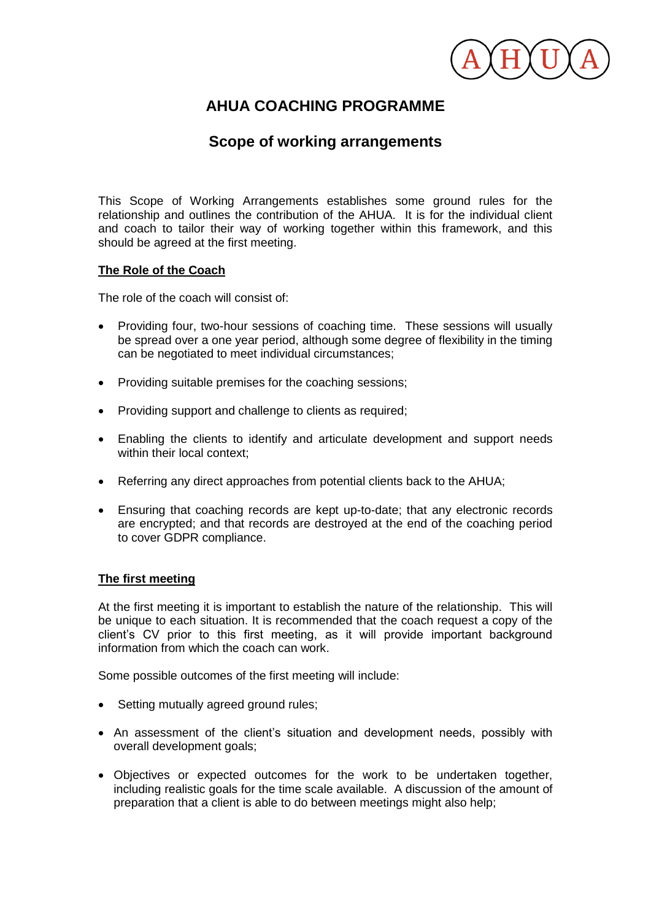

# **AHUA COACHING PROGRAMME**

# **Scope of working arrangements**

This Scope of Working Arrangements establishes some ground rules for the relationship and outlines the contribution of the AHUA. It is for the individual client and coach to tailor their way of working together within this framework, and this should be agreed at the first meeting.

# **The Role of the Coach**

The role of the coach will consist of:

- Providing four, two-hour sessions of coaching time. These sessions will usually be spread over a one year period, although some degree of flexibility in the timing can be negotiated to meet individual circumstances;
- Providing suitable premises for the coaching sessions;
- Providing support and challenge to clients as required;
- Enabling the clients to identify and articulate development and support needs within their local context;
- Referring any direct approaches from potential clients back to the AHUA;
- Ensuring that coaching records are kept up-to-date; that any electronic records are encrypted; and that records are destroyed at the end of the coaching period to cover GDPR compliance.

# **The first meeting**

At the first meeting it is important to establish the nature of the relationship. This will be unique to each situation. It is recommended that the coach request a copy of the client's CV prior to this first meeting, as it will provide important background information from which the coach can work.

Some possible outcomes of the first meeting will include:

- Setting mutually agreed ground rules;
- An assessment of the client's situation and development needs, possibly with overall development goals;
- Objectives or expected outcomes for the work to be undertaken together, including realistic goals for the time scale available. A discussion of the amount of preparation that a client is able to do between meetings might also help;